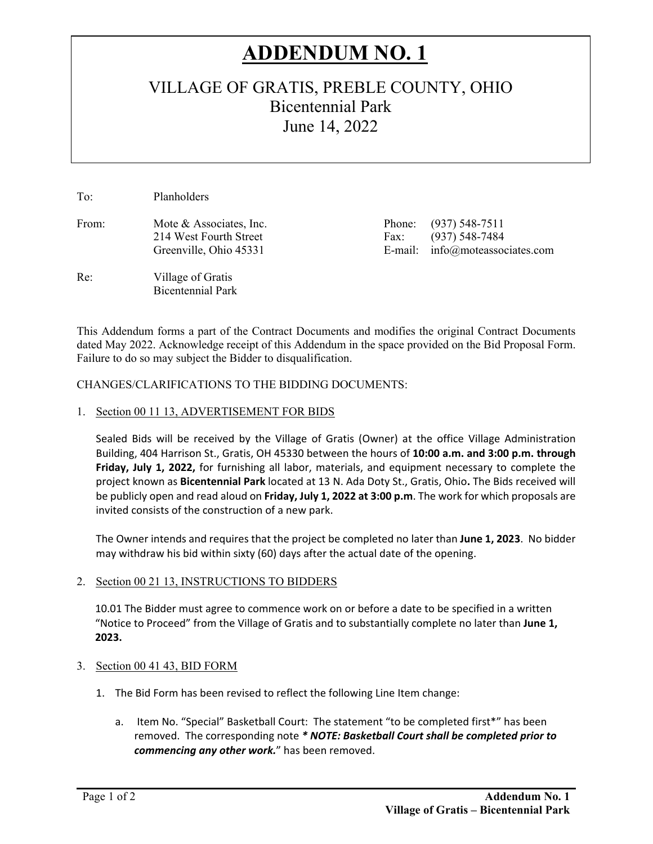# **ADDENDUM NO. 1**

# VILLAGE OF GRATIS, PREBLE COUNTY, OHIO Bicentennial Park June 14, 2022

To: Planholders

From: Mote & Associates, Inc. Phone: (937) 548-7511

Bicentennial Park

Re: Village of Gratis

214 West Fourth Street Fax: (937) 548-7484 Greenville, Ohio 45331 **E-mail:** info@moteassociates.com

This Addendum forms a part of the Contract Documents and modifies the original Contract Documents dated May 2022. Acknowledge receipt of this Addendum in the space provided on the Bid Proposal Form. Failure to do so may subject the Bidder to disqualification.

#### CHANGES/CLARIFICATIONS TO THE BIDDING DOCUMENTS:

#### 1. Section 00 11 13, ADVERTISEMENT FOR BIDS

Sealed Bids will be received by the Village of Gratis (Owner) at the office Village Administration Building, 404 Harrison St., Gratis, OH 45330 between the hours of **10:00 a.m. and 3:00 p.m. through Friday, July 1, 2022,** for furnishing all labor, materials, and equipment necessary to complete the project known as **Bicentennial Park** located at 13 N. Ada Doty St., Gratis, Ohio**.** The Bids received will be publicly open and read aloud on **Friday, July 1, 2022 at 3:00 p.m**. The work for which proposals are invited consists of the construction of a new park.

The Owner intends and requires that the project be completed no later than **June 1, 2023**. No bidder may withdraw his bid within sixty (60) days after the actual date of the opening.

#### 2. Section 00 21 13, INSTRUCTIONS TO BIDDERS

10.01 The Bidder must agree to commence work on or before a date to be specified in a written "Notice to Proceed" from the Village of Gratis and to substantially complete no later than **June 1, 2023.** 

#### 3. Section 00 41 43, BID FORM

- 1. The Bid Form has been revised to reflect the following Line Item change:
	- a. Item No. "Special" Basketball Court: The statement "to be completed first\*" has been removed. The corresponding note *\* NOTE: Basketball Court shall be completed prior to commencing any other work.*" has been removed.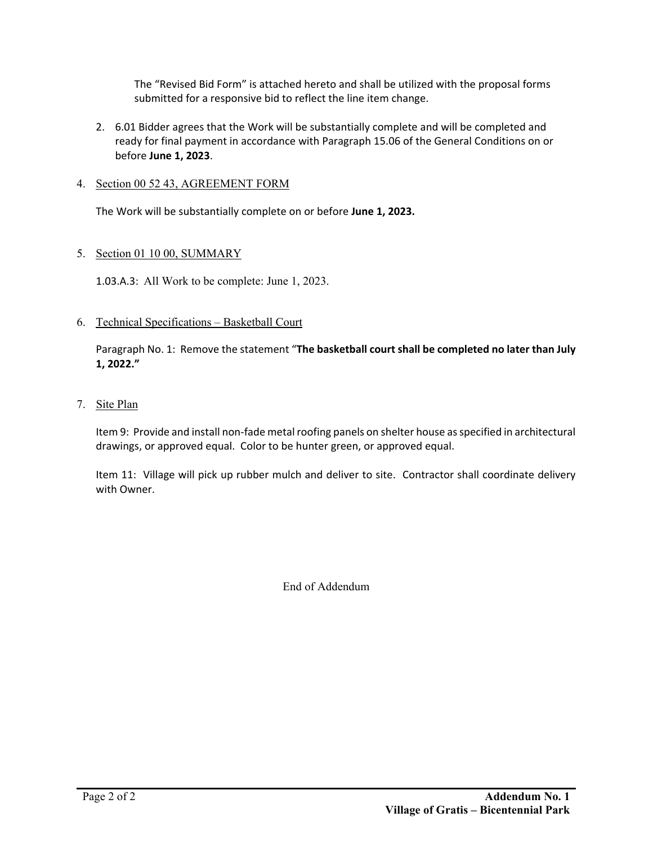The "Revised Bid Form" is attached hereto and shall be utilized with the proposal forms submitted for a responsive bid to reflect the line item change.

2. 6.01 Bidder agrees that the Work will be substantially complete and will be completed and ready for final payment in accordance with Paragraph 15.06 of the General Conditions on or before **June 1, 2023**.

#### 4. Section 00 52 43, AGREEMENT FORM

The Work will be substantially complete on or before **June 1, 2023.** 

#### 5. Section 01 10 00, SUMMARY

1.03.A.3: All Work to be complete: June 1, 2023.

6. Technical Specifications – Basketball Court

Paragraph No. 1: Remove the statement "**The basketball court shall be completed no later than July 1, 2022."**

7. Site Plan

Item 9: Provide and install non-fade metal roofing panels on shelter house as specified in architectural drawings, or approved equal. Color to be hunter green, or approved equal.

Item 11: Village will pick up rubber mulch and deliver to site. Contractor shall coordinate delivery with Owner.

End of Addendum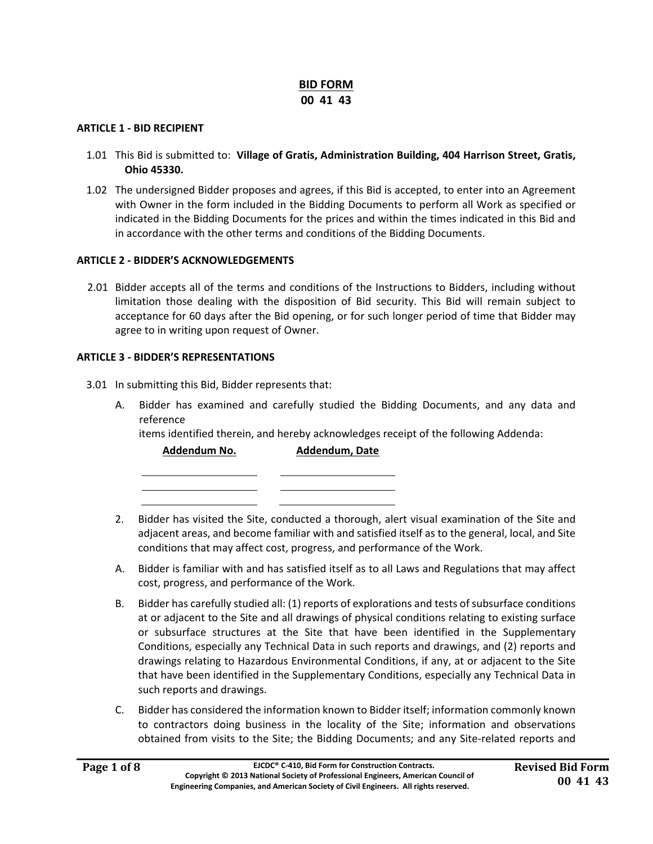#### **BID FORM 00 41 43**

#### **ARTICLE 1 ‐ BID RECIPIENT**

- 1.01 This Bid is submitted to: **Village of Gratis, Administration Building, 404 Harrison Street, Gratis, Ohio 45330.**
- 1.02 The undersigned Bidder proposes and agrees, if this Bid is accepted, to enter into an Agreement with Owner in the form included in the Bidding Documents to perform all Work as specified or indicated in the Bidding Documents for the prices and within the times indicated in this Bid and in accordance with the other terms and conditions of the Bidding Documents.

#### **ARTICLE 2 ‐ BIDDER'S ACKNOWLEDGEMENTS**

 2.01 Bidder accepts all of the terms and conditions of the Instructions to Bidders, including without limitation those dealing with the disposition of Bid security. This Bid will remain subject to acceptance for 60 days after the Bid opening, or for such longer period of time that Bidder may agree to in writing upon request of Owner.

#### **ARTICLE 3 ‐ BIDDER'S REPRESENTATIONS**

- 3.01 In submitting this Bid, Bidder represents that:
	- A. Bidder has examined and carefully studied the Bidding Documents, and any data and reference

items identified therein, and hereby acknowledges receipt of the following Addenda:

**Addendum No. Addendum, Date** 

- 2. Bidder has visited the Site, conducted a thorough, alert visual examination of the Site and adjacent areas, and become familiar with and satisfied itself as to the general, local, and Site conditions that may affect cost, progress, and performance of the Work.
- A. Bidder is familiar with and has satisfied itself as to all Laws and Regulations that may affect cost, progress, and performance of the Work.
- B. Bidder has carefully studied all: (1) reports of explorations and tests of subsurface conditions at or adjacent to the Site and all drawings of physical conditions relating to existing surface or subsurface structures at the Site that have been identified in the Supplementary Conditions, especially any Technical Data in such reports and drawings, and (2) reports and drawings relating to Hazardous Environmental Conditions, if any, at or adjacent to the Site that have been identified in the Supplementary Conditions, especially any Technical Data in such reports and drawings.
- C. Bidder has considered the information known to Bidder itself; information commonly known to contractors doing business in the locality of the Site; information and observations obtained from visits to the Site; the Bidding Documents; and any Site-related reports and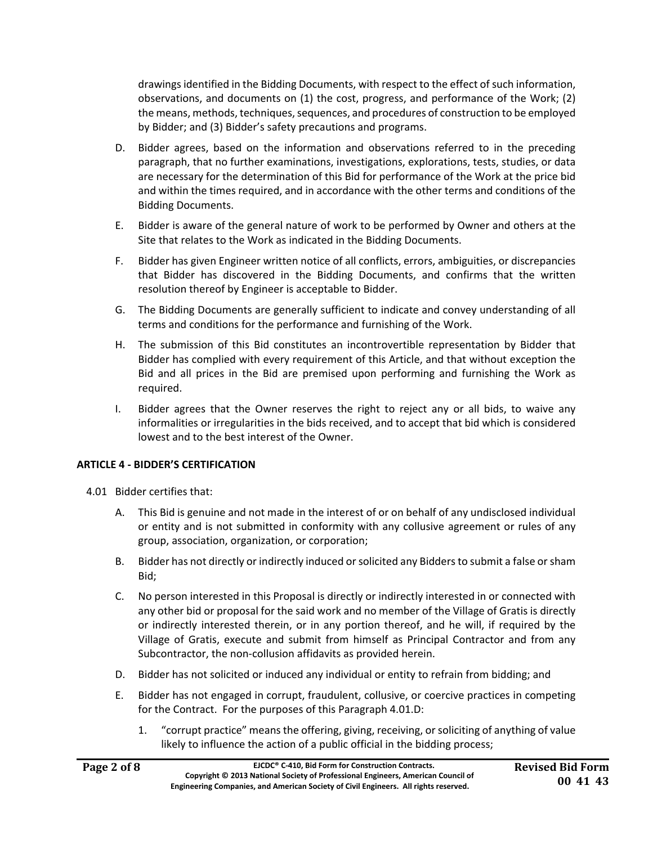drawings identified in the Bidding Documents, with respect to the effect of such information, observations, and documents on (1) the cost, progress, and performance of the Work; (2) the means, methods, techniques, sequences, and procedures of construction to be employed by Bidder; and (3) Bidder's safety precautions and programs.

- D. Bidder agrees, based on the information and observations referred to in the preceding paragraph, that no further examinations, investigations, explorations, tests, studies, or data are necessary for the determination of this Bid for performance of the Work at the price bid and within the times required, and in accordance with the other terms and conditions of the Bidding Documents.
- E. Bidder is aware of the general nature of work to be performed by Owner and others at the Site that relates to the Work as indicated in the Bidding Documents.
- F. Bidder has given Engineer written notice of all conflicts, errors, ambiguities, or discrepancies that Bidder has discovered in the Bidding Documents, and confirms that the written resolution thereof by Engineer is acceptable to Bidder.
- G. The Bidding Documents are generally sufficient to indicate and convey understanding of all terms and conditions for the performance and furnishing of the Work.
- H. The submission of this Bid constitutes an incontrovertible representation by Bidder that Bidder has complied with every requirement of this Article, and that without exception the Bid and all prices in the Bid are premised upon performing and furnishing the Work as required.
- I. Bidder agrees that the Owner reserves the right to reject any or all bids, to waive any informalities or irregularities in the bids received, and to accept that bid which is considered lowest and to the best interest of the Owner.

#### **ARTICLE 4 ‐ BIDDER'S CERTIFICATION**

- 4.01 Bidder certifies that:
	- A. This Bid is genuine and not made in the interest of or on behalf of any undisclosed individual or entity and is not submitted in conformity with any collusive agreement or rules of any group, association, organization, or corporation;
	- B. Bidder has not directly or indirectly induced or solicited any Bidders to submit a false or sham Bid;
	- C. No person interested in this Proposal is directly or indirectly interested in or connected with any other bid or proposal for the said work and no member of the Village of Gratis is directly or indirectly interested therein, or in any portion thereof, and he will, if required by the Village of Gratis, execute and submit from himself as Principal Contractor and from any Subcontractor, the non‐collusion affidavits as provided herein.
	- D. Bidder has not solicited or induced any individual or entity to refrain from bidding; and
	- E. Bidder has not engaged in corrupt, fraudulent, collusive, or coercive practices in competing for the Contract. For the purposes of this Paragraph 4.01.D:
		- 1. "corrupt practice" means the offering, giving, receiving, or soliciting of anything of value likely to influence the action of a public official in the bidding process;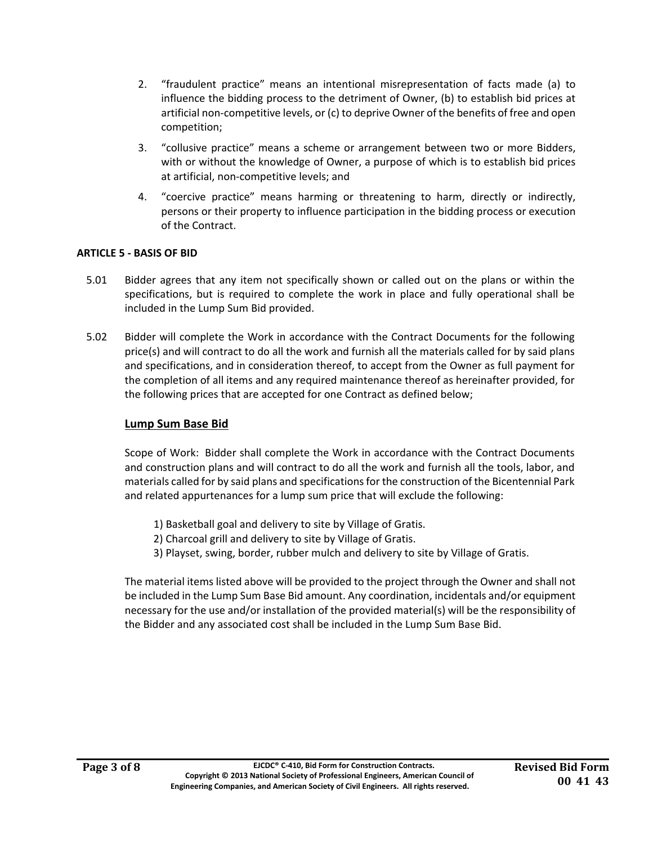- 2. "fraudulent practice" means an intentional misrepresentation of facts made (a) to influence the bidding process to the detriment of Owner, (b) to establish bid prices at artificial non‐competitive levels, or (c) to deprive Owner of the benefits of free and open competition;
- 3. "collusive practice" means a scheme or arrangement between two or more Bidders, with or without the knowledge of Owner, a purpose of which is to establish bid prices at artificial, non‐competitive levels; and
- 4. "coercive practice" means harming or threatening to harm, directly or indirectly, persons or their property to influence participation in the bidding process or execution of the Contract.

#### **ARTICLE 5 ‐ BASIS OF BID**

- 5.01 Bidder agrees that any item not specifically shown or called out on the plans or within the specifications, but is required to complete the work in place and fully operational shall be included in the Lump Sum Bid provided.
- 5.02 Bidder will complete the Work in accordance with the Contract Documents for the following price(s) and will contract to do all the work and furnish all the materials called for by said plans and specifications, and in consideration thereof, to accept from the Owner as full payment for the completion of all items and any required maintenance thereof as hereinafter provided, for the following prices that are accepted for one Contract as defined below;

#### **Lump Sum Base Bid**

 Scope of Work: Bidder shall complete the Work in accordance with the Contract Documents and construction plans and will contract to do all the work and furnish all the tools, labor, and materials called for by said plans and specifications for the construction of the Bicentennial Park and related appurtenances for a lump sum price that will exclude the following:

- 1) Basketball goal and delivery to site by Village of Gratis.
- 2) Charcoal grill and delivery to site by Village of Gratis.
- 3) Playset, swing, border, rubber mulch and delivery to site by Village of Gratis.

The material items listed above will be provided to the project through the Owner and shall not be included in the Lump Sum Base Bid amount. Any coordination, incidentals and/or equipment necessary for the use and/or installation of the provided material(s) will be the responsibility of the Bidder and any associated cost shall be included in the Lump Sum Base Bid.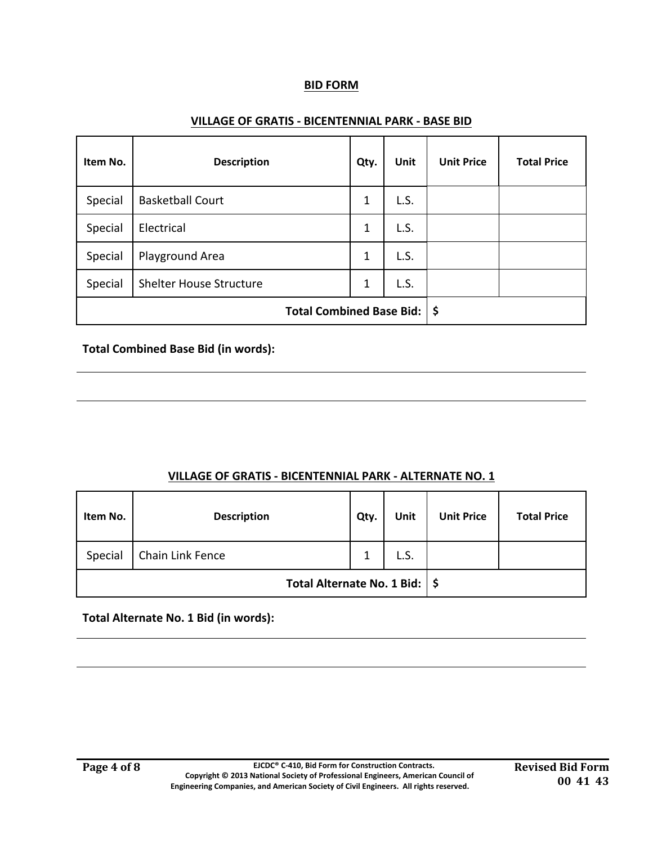#### **BID FORM**

#### **VILLAGE OF GRATIS ‐ BICENTENNIAL PARK ‐ BASE BID**

| Item No.                        | <b>Description</b>             | Qty. | Unit | <b>Unit Price</b> | <b>Total Price</b> |
|---------------------------------|--------------------------------|------|------|-------------------|--------------------|
| Special                         | <b>Basketball Court</b>        | 1    | L.S. |                   |                    |
| Special                         | Electrical                     | 1    | L.S. |                   |                    |
| Special                         | Playground Area                | 1    | L.S. |                   |                    |
| Special                         | <b>Shelter House Structure</b> | 1    | L.S. |                   |                    |
| <b>Total Combined Base Bid:</b> |                                |      | \$   |                   |                    |

#### **Total Combined Base Bid (in words):**

#### **VILLAGE OF GRATIS ‐ BICENTENNIAL PARK ‐ ALTERNATE NO. 1**

| Item No.                        | <b>Description</b> | Qty. | Unit | <b>Unit Price</b> | <b>Total Price</b> |
|---------------------------------|--------------------|------|------|-------------------|--------------------|
| Special                         | Chain Link Fence   | 1    | L.S. |                   |                    |
| Total Alternate No. 1 Bid:   \$ |                    |      |      |                   |                    |

**Total Alternate No. 1 Bid (in words):**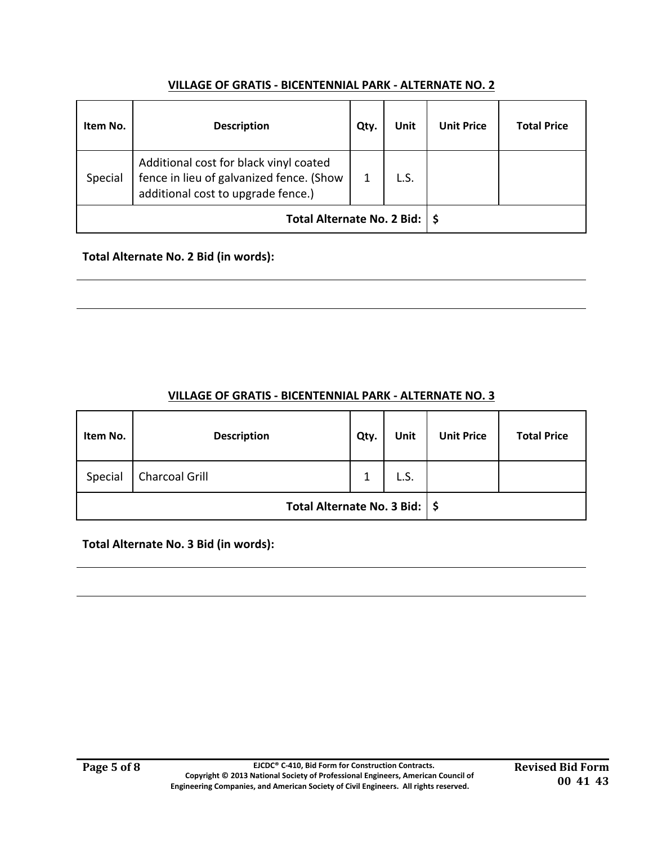# **VILLAGE OF GRATIS ‐ BICENTENNIAL PARK ‐ ALTERNATE NO. 2**

| Item No. | <b>Description</b>                                                                                                       | Qty. | <b>Unit</b> | <b>Unit Price</b> | <b>Total Price</b> |
|----------|--------------------------------------------------------------------------------------------------------------------------|------|-------------|-------------------|--------------------|
| Special  | Additional cost for black vinyl coated<br>fence in lieu of galvanized fence. (Show<br>additional cost to upgrade fence.) | 1    | L.S.        |                   |                    |
|          | Total Alternate No. 2 Bid:   \$                                                                                          |      |             |                   |                    |

# **Total Alternate No. 2 Bid (in words):**

| Item No.                        | <b>Description</b>    | Qty. | <b>Unit</b> | <b>Unit Price</b> | <b>Total Price</b> |
|---------------------------------|-----------------------|------|-------------|-------------------|--------------------|
| Special                         | <b>Charcoal Grill</b> | 1    | L.S.        |                   |                    |
| Total Alternate No. 3 Bid:   \$ |                       |      |             |                   |                    |

# **VILLAGE OF GRATIS ‐ BICENTENNIAL PARK ‐ ALTERNATE NO. 3**

**Total Alternate No. 3 Bid (in words):**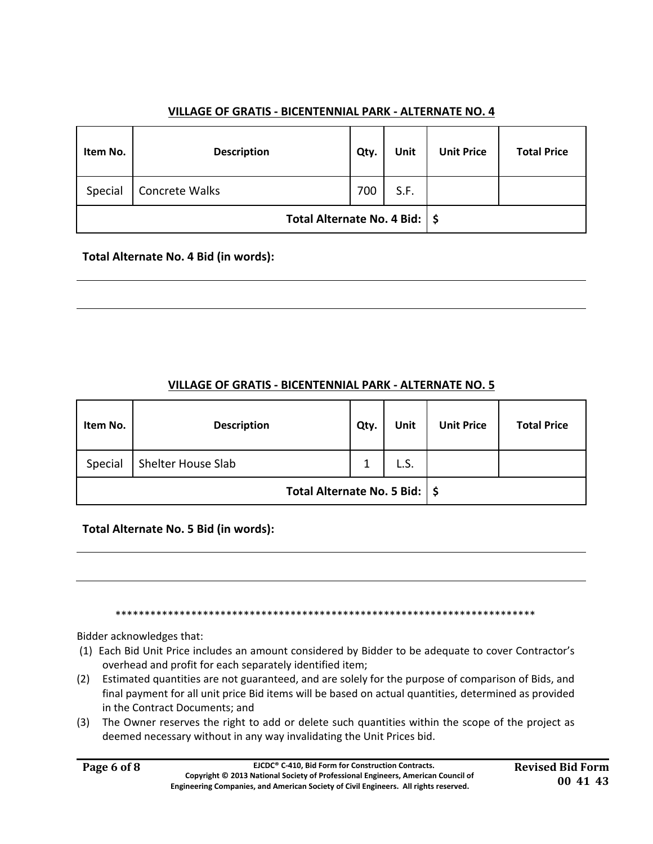# **VILLAGE OF GRATIS ‐ BICENTENNIAL PARK ‐ ALTERNATE NO. 4**

| Item No.                        | <b>Description</b> | Qty. | Unit | <b>Unit Price</b> | <b>Total Price</b> |
|---------------------------------|--------------------|------|------|-------------------|--------------------|
| Special                         | Concrete Walks     | 700  | S.F. |                   |                    |
| Total Alternate No. 4 Bid:   \$ |                    |      |      |                   |                    |

# **Total Alternate No. 4 Bid (in words):**

## **VILLAGE OF GRATIS ‐ BICENTENNIAL PARK ‐ ALTERNATE NO. 5**

| Item No.                        | <b>Description</b> | Qty. | Unit | <b>Unit Price</b> | <b>Total Price</b> |
|---------------------------------|--------------------|------|------|-------------------|--------------------|
| Special                         | Shelter House Slab | 1    | L.S. |                   |                    |
| Total Alternate No. 5 Bid:   \$ |                    |      |      |                   |                    |

**Total Alternate No. 5 Bid (in words):** 

\*\*\*\*\*\*\*\*\*\*\*\*\*\*\*\*\*\*\*\*\*\*\*\*\*\*\*\*\*\*\*\*\*\*\*\*\*\*\*\*\*\*\*\*\*\*\*\*\*\*\*\*\*\*\*\*\*\*\*\*\*\*\*\*\*\*\*\*\*\*\*\*

Bidder acknowledges that:

- (1) Each Bid Unit Price includes an amount considered by Bidder to be adequate to cover Contractor's overhead and profit for each separately identified item;
- (2) Estimated quantities are not guaranteed, and are solely for the purpose of comparison of Bids, and final payment for all unit price Bid items will be based on actual quantities, determined as provided in the Contract Documents; and
- (3) The Owner reserves the right to add or delete such quantities within the scope of the project as deemed necessary without in any way invalidating the Unit Prices bid.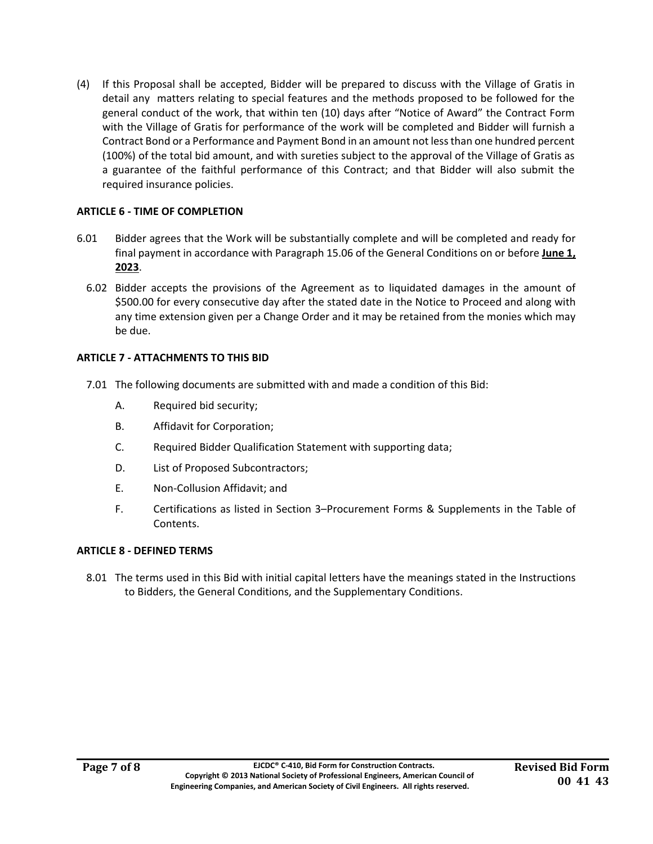(4) If this Proposal shall be accepted, Bidder will be prepared to discuss with the Village of Gratis in detail any matters relating to special features and the methods proposed to be followed for the general conduct of the work, that within ten (10) days after "Notice of Award" the Contract Form with the Village of Gratis for performance of the work will be completed and Bidder will furnish a Contract Bond or a Performance and Payment Bond in an amount not less than one hundred percent (100%) of the total bid amount, and with sureties subject to the approval of the Village of Gratis as a guarantee of the faithful performance of this Contract; and that Bidder will also submit the required insurance policies.

#### **ARTICLE 6 ‐ TIME OF COMPLETION**

- 6.01 Bidder agrees that the Work will be substantially complete and will be completed and ready for final payment in accordance with Paragraph 15.06 of the General Conditions on or before **June 1, 2023**.
	- 6.02 Bidder accepts the provisions of the Agreement as to liquidated damages in the amount of \$500.00 for every consecutive day after the stated date in the Notice to Proceed and along with any time extension given per a Change Order and it may be retained from the monies which may be due.

## **ARTICLE 7 ‐ ATTACHMENTS TO THIS BID**

- 7.01 The following documents are submitted with and made a condition of this Bid:
	- A. Required bid security;
	- B. Affidavit for Corporation;
	- C. Required Bidder Qualification Statement with supporting data;
	- D. List of Proposed Subcontractors;
	- E. Non‐Collusion Affidavit; and
	- F. Certifications as listed in Section 3–Procurement Forms & Supplements in the Table of Contents.

#### **ARTICLE 8 ‐ DEFINED TERMS**

8.01 The terms used in this Bid with initial capital letters have the meanings stated in the Instructions to Bidders, the General Conditions, and the Supplementary Conditions.